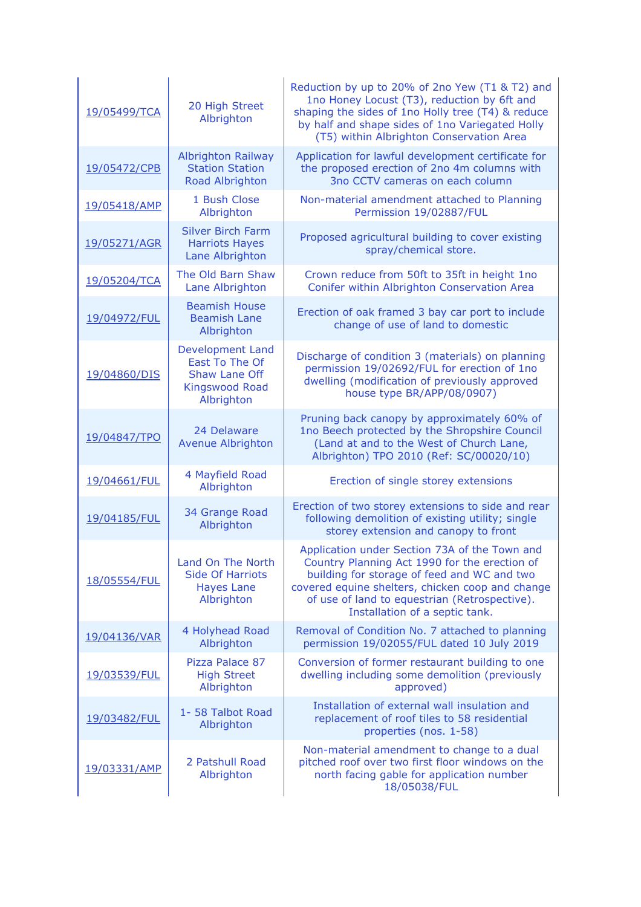| 19/05499/TCA | 20 High Street<br>Albrighton                                                                      | Reduction by up to 20% of 2no Yew (T1 & T2) and<br>1no Honey Locust (T3), reduction by 6ft and<br>shaping the sides of 1no Holly tree (T4) & reduce<br>by half and shape sides of 1no Variegated Holly<br>(T5) within Albrighton Conservation Area                                   |
|--------------|---------------------------------------------------------------------------------------------------|--------------------------------------------------------------------------------------------------------------------------------------------------------------------------------------------------------------------------------------------------------------------------------------|
| 19/05472/CPB | <b>Albrighton Railway</b><br><b>Station Station</b><br>Road Albrighton                            | Application for lawful development certificate for<br>the proposed erection of 2no 4m columns with<br>3no CCTV cameras on each column                                                                                                                                                |
| 19/05418/AMP | 1 Bush Close<br>Albrighton                                                                        | Non-material amendment attached to Planning<br>Permission 19/02887/FUL                                                                                                                                                                                                               |
| 19/05271/AGR | <b>Silver Birch Farm</b><br><b>Harriots Hayes</b><br>Lane Albrighton                              | Proposed agricultural building to cover existing<br>spray/chemical store.                                                                                                                                                                                                            |
| 19/05204/TCA | The Old Barn Shaw<br>Lane Albrighton                                                              | Crown reduce from 50ft to 35ft in height 1no<br>Conifer within Albrighton Conservation Area                                                                                                                                                                                          |
| 19/04972/FUL | <b>Beamish House</b><br><b>Beamish Lane</b><br>Albrighton                                         | Erection of oak framed 3 bay car port to include<br>change of use of land to domestic                                                                                                                                                                                                |
| 19/04860/DIS | Development Land<br>East To The Of<br><b>Shaw Lane Off</b><br><b>Kingswood Road</b><br>Albrighton | Discharge of condition 3 (materials) on planning<br>permission 19/02692/FUL for erection of 1no<br>dwelling (modification of previously approved<br>house type BR/APP/08/0907)                                                                                                       |
| 19/04847/TPO | 24 Delaware<br><b>Avenue Albrighton</b>                                                           | Pruning back canopy by approximately 60% of<br>1no Beech protected by the Shropshire Council<br>(Land at and to the West of Church Lane,<br>Albrighton) TPO 2010 (Ref: SC/00020/10)                                                                                                  |
| 19/04661/FUL | 4 Mayfield Road<br>Albrighton                                                                     | Erection of single storey extensions                                                                                                                                                                                                                                                 |
| 19/04185/FUL | 34 Grange Road<br>Albrighton                                                                      | Erection of two storey extensions to side and rear<br>following demolition of existing utility; single<br>storey extension and canopy to front                                                                                                                                       |
| 18/05554/FUL | Land On The North<br><b>Side Of Harriots</b><br><b>Hayes Lane</b><br>Albrighton                   | Application under Section 73A of the Town and<br>Country Planning Act 1990 for the erection of<br>building for storage of feed and WC and two<br>covered equine shelters, chicken coop and change<br>of use of land to equestrian (Retrospective).<br>Installation of a septic tank. |
| 19/04136/VAR | 4 Holyhead Road<br>Albrighton                                                                     | Removal of Condition No. 7 attached to planning<br>permission 19/02055/FUL dated 10 July 2019                                                                                                                                                                                        |
| 19/03539/FUL | Pizza Palace 87<br><b>High Street</b><br>Albrighton                                               | Conversion of former restaurant building to one<br>dwelling including some demolition (previously<br>approved)                                                                                                                                                                       |
| 19/03482/FUL | 1-58 Talbot Road<br>Albrighton                                                                    | Installation of external wall insulation and<br>replacement of roof tiles to 58 residential<br>properties (nos. 1-58)                                                                                                                                                                |
| 19/03331/AMP | 2 Patshull Road<br>Albrighton                                                                     | Non-material amendment to change to a dual<br>pitched roof over two first floor windows on the<br>north facing gable for application number<br>18/05038/FUL                                                                                                                          |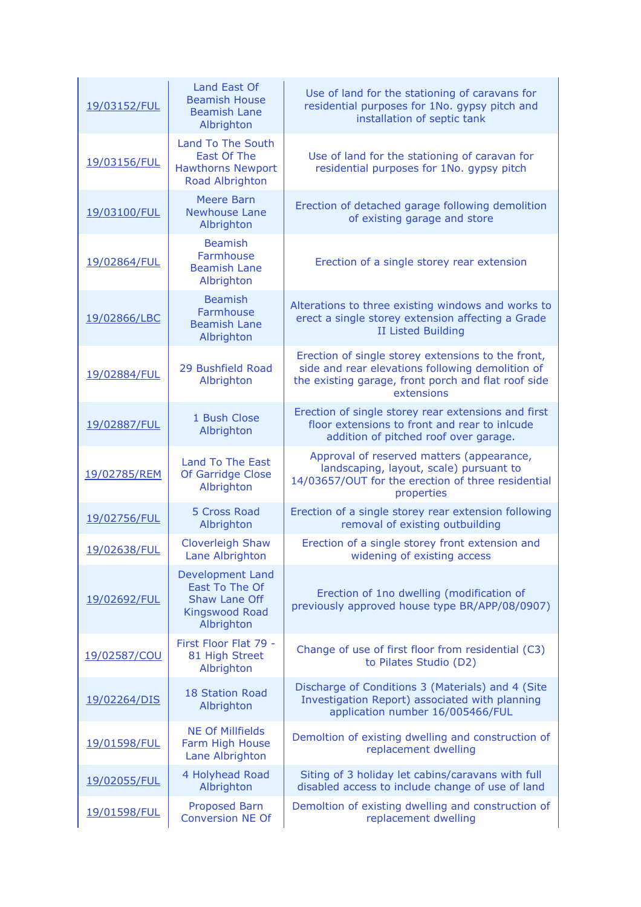| 19/03152/FUL | Land East Of<br><b>Beamish House</b><br><b>Beamish Lane</b><br>Albrighton                                | Use of land for the stationing of caravans for<br>residential purposes for 1No. gypsy pitch and<br>installation of septic tank                                              |
|--------------|----------------------------------------------------------------------------------------------------------|-----------------------------------------------------------------------------------------------------------------------------------------------------------------------------|
| 19/03156/FUL | <b>Land To The South</b><br>East Of The<br><b>Hawthorns Newport</b><br>Road Albrighton                   | Use of land for the stationing of caravan for<br>residential purposes for 1No. gypsy pitch                                                                                  |
| 19/03100/FUL | <b>Meere Barn</b><br><b>Newhouse Lane</b><br>Albrighton                                                  | Erection of detached garage following demolition<br>of existing garage and store                                                                                            |
| 19/02864/FUL | <b>Beamish</b><br>Farmhouse<br><b>Beamish Lane</b><br>Albrighton                                         | Erection of a single storey rear extension                                                                                                                                  |
| 19/02866/LBC | <b>Beamish</b><br>Farmhouse<br><b>Beamish Lane</b><br>Albrighton                                         | Alterations to three existing windows and works to<br>erect a single storey extension affecting a Grade<br><b>II Listed Building</b>                                        |
| 19/02884/FUL | 29 Bushfield Road<br>Albrighton                                                                          | Erection of single storey extensions to the front,<br>side and rear elevations following demolition of<br>the existing garage, front porch and flat roof side<br>extensions |
| 19/02887/FUL | 1 Bush Close<br>Albrighton                                                                               | Erection of single storey rear extensions and first<br>floor extensions to front and rear to inlcude<br>addition of pitched roof over garage.                               |
| 19/02785/REM | <b>Land To The East</b><br>Of Garridge Close<br>Albrighton                                               | Approval of reserved matters (appearance,<br>landscaping, layout, scale) pursuant to<br>14/03657/OUT for the erection of three residential<br>properties                    |
| 19/02756/FUL | 5 Cross Road<br>Albrighton                                                                               | Erection of a single storey rear extension following<br>removal of existing outbuilding                                                                                     |
| 19/02638/FUL | <b>Cloverleigh Shaw</b><br>Lane Albrighton                                                               | Erection of a single storey front extension and<br>widening of existing access                                                                                              |
| 19/02692/FUL | <b>Development Land</b><br>East To The Of<br><b>Shaw Lane Off</b><br><b>Kingswood Road</b><br>Albrighton | Erection of 1no dwelling (modification of<br>previously approved house type BR/APP/08/0907)                                                                                 |
| 19/02587/COU | First Floor Flat 79 -<br>81 High Street<br>Albrighton                                                    | Change of use of first floor from residential (C3)<br>to Pilates Studio (D2)                                                                                                |
| 19/02264/DIS | <b>18 Station Road</b><br>Albrighton                                                                     | Discharge of Conditions 3 (Materials) and 4 (Site<br>Investigation Report) associated with planning<br>application number 16/005466/FUL                                     |
| 19/01598/FUL | <b>NE Of Millfields</b><br>Farm High House<br>Lane Albrighton                                            | Demoltion of existing dwelling and construction of<br>replacement dwelling                                                                                                  |
| 19/02055/FUL | 4 Holyhead Road<br>Albrighton                                                                            | Siting of 3 holiday let cabins/caravans with full<br>disabled access to include change of use of land                                                                       |
| 19/01598/FUL | <b>Proposed Barn</b><br><b>Conversion NE Of</b>                                                          | Demoltion of existing dwelling and construction of<br>replacement dwelling                                                                                                  |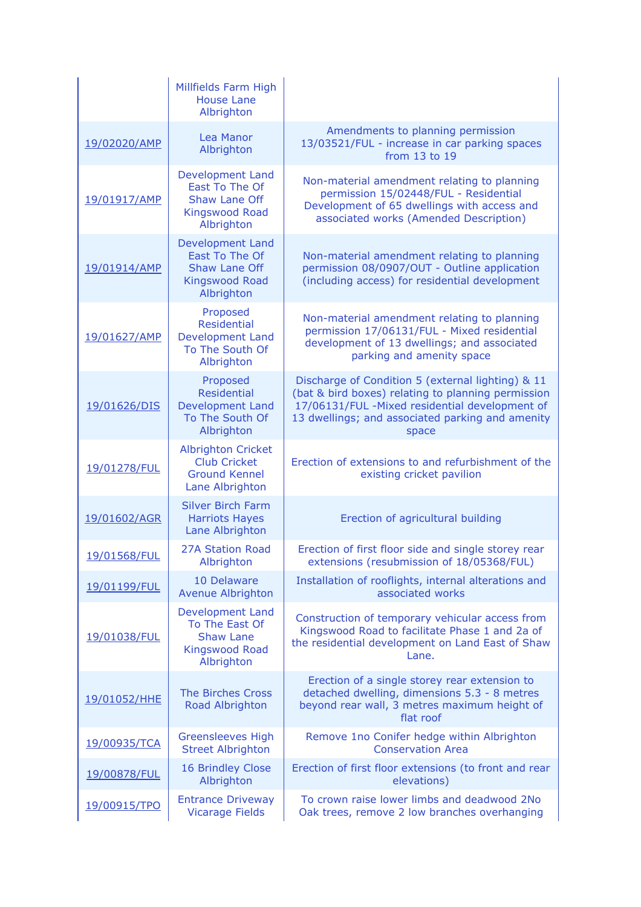|              | Millfields Farm High<br><b>House Lane</b><br>Albrighton                                                  |                                                                                                                                                                                                                        |
|--------------|----------------------------------------------------------------------------------------------------------|------------------------------------------------------------------------------------------------------------------------------------------------------------------------------------------------------------------------|
| 19/02020/AMP | Lea Manor<br>Albrighton                                                                                  | Amendments to planning permission<br>13/03521/FUL - increase in car parking spaces<br>from 13 to 19                                                                                                                    |
| 19/01917/AMP | <b>Development Land</b><br>East To The Of<br><b>Shaw Lane Off</b><br><b>Kingswood Road</b><br>Albrighton | Non-material amendment relating to planning<br>permission 15/02448/FUL - Residential<br>Development of 65 dwellings with access and<br>associated works (Amended Description)                                          |
| 19/01914/AMP | <b>Development Land</b><br>East To The Of<br><b>Shaw Lane Off</b><br><b>Kingswood Road</b><br>Albrighton | Non-material amendment relating to planning<br>permission 08/0907/OUT - Outline application<br>(including access) for residential development                                                                          |
| 19/01627/AMP | Proposed<br>Residential<br><b>Development Land</b><br>To The South Of<br>Albrighton                      | Non-material amendment relating to planning<br>permission 17/06131/FUL - Mixed residential<br>development of 13 dwellings; and associated<br>parking and amenity space                                                 |
| 19/01626/DIS | Proposed<br><b>Residential</b><br><b>Development Land</b><br>To The South Of<br>Albrighton               | Discharge of Condition 5 (external lighting) & 11<br>(bat & bird boxes) relating to planning permission<br>17/06131/FUL -Mixed residential development of<br>13 dwellings; and associated parking and amenity<br>space |
| 19/01278/FUL | <b>Albrighton Cricket</b><br><b>Club Cricket</b><br><b>Ground Kennel</b><br>Lane Albrighton              | Erection of extensions to and refurbishment of the<br>existing cricket pavilion                                                                                                                                        |
| 19/01602/AGR | <b>Silver Birch Farm</b><br><b>Harriots Hayes</b><br>Lane Albrighton                                     | Erection of agricultural building                                                                                                                                                                                      |
| 19/01568/FUL | <b>27A Station Road</b><br>Albrighton                                                                    | Erection of first floor side and single storey rear<br>extensions (resubmission of 18/05368/FUL)                                                                                                                       |
| 19/01199/FUL | 10 Delaware<br><b>Avenue Albrighton</b>                                                                  | Installation of rooflights, internal alterations and<br>associated works                                                                                                                                               |
| 19/01038/FUL | Development Land<br>To The East Of<br><b>Shaw Lane</b><br><b>Kingswood Road</b><br>Albrighton            | Construction of temporary vehicular access from<br>Kingswood Road to facilitate Phase 1 and 2a of<br>the residential development on Land East of Shaw<br>Lane.                                                         |
| 19/01052/HHE | <b>The Birches Cross</b><br>Road Albrighton                                                              | Erection of a single storey rear extension to<br>detached dwelling, dimensions 5.3 - 8 metres<br>beyond rear wall, 3 metres maximum height of<br>flat roof                                                             |
| 19/00935/TCA | <b>Greensleeves High</b><br><b>Street Albrighton</b>                                                     | Remove 1no Conifer hedge within Albrighton<br><b>Conservation Area</b>                                                                                                                                                 |
| 19/00878/FUL | 16 Brindley Close<br>Albrighton                                                                          | Erection of first floor extensions (to front and rear<br>elevations)                                                                                                                                                   |
| 19/00915/TPO | <b>Entrance Driveway</b><br><b>Vicarage Fields</b>                                                       | To crown raise lower limbs and deadwood 2No<br>Oak trees, remove 2 low branches overhanging                                                                                                                            |